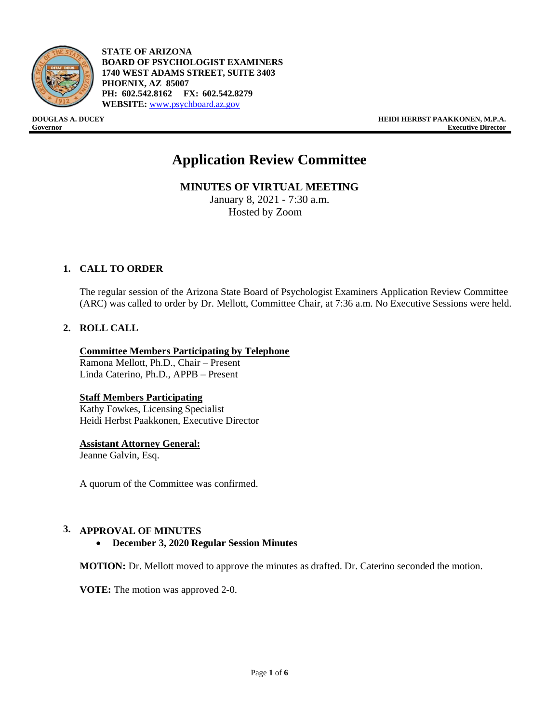

- **STATE OF ARIZONA BOARD OF PSYCHOLOGIST EXAMINERS 1740 WEST ADAMS STREET, SUITE 3403 PHOENIX, AZ 85007 PH: 602.542.8162 FX: 602.542.8279 WEBSITE:** [www.psychboard.az.gov](http://www.psychboard.az.gov/)

**DOUGLAS A. DUCEY HEIDI HERBST PAAKKONEN, M.P.A. Governor Executive Director**

# **Application Review Committee**

**MINUTES OF VIRTUAL MEETING** 

January 8, 2021 - 7:30 a.m. Hosted by Zoom

## **1. CALL TO ORDER**

The regular session of the Arizona State Board of Psychologist Examiners Application Review Committee (ARC) was called to order by Dr. Mellott, Committee Chair, at 7:36 a.m. No Executive Sessions were held.

## **2. ROLL CALL**

### **Committee Members Participating by Telephone**

Ramona Mellott, Ph.D., Chair – Present Linda Caterino, Ph.D., APPB – Present

### **Staff Members Participating**

Kathy Fowkes, Licensing Specialist Heidi Herbst Paakkonen, Executive Director

### **Assistant Attorney General:**

Jeanne Galvin, Esq.

A quorum of the Committee was confirmed.

### **3. APPROVAL OF MINUTES**

• **December 3, 2020 Regular Session Minutes**

**MOTION:** Dr. Mellott moved to approve the minutes as drafted. Dr. Caterino seconded the motion.

**VOTE:** The motion was approved 2-0.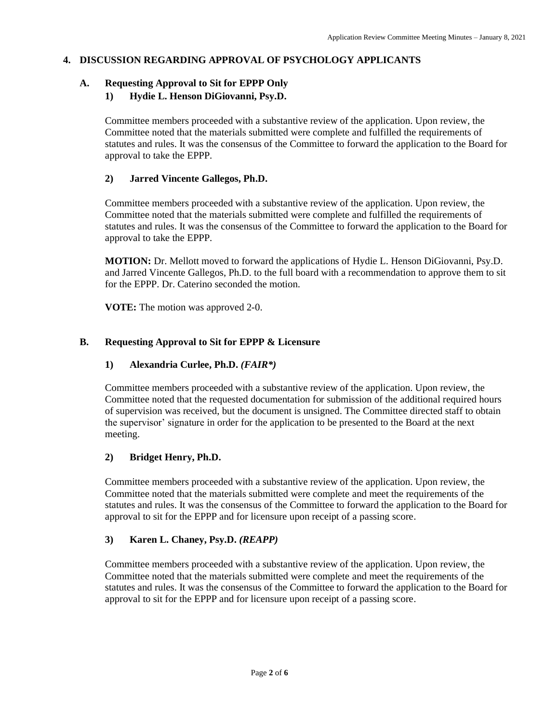# **4. DISCUSSION REGARDING APPROVAL OF PSYCHOLOGY APPLICANTS**

# **A. Requesting Approval to Sit for EPPP Only**

# **1) Hydie L. Henson DiGiovanni, Psy.D.**

Committee members proceeded with a substantive review of the application. Upon review, the Committee noted that the materials submitted were complete and fulfilled the requirements of statutes and rules. It was the consensus of the Committee to forward the application to the Board for approval to take the EPPP.

## **2) Jarred Vincente Gallegos, Ph.D.**

Committee members proceeded with a substantive review of the application. Upon review, the Committee noted that the materials submitted were complete and fulfilled the requirements of statutes and rules. It was the consensus of the Committee to forward the application to the Board for approval to take the EPPP.

**MOTION:** Dr. Mellott moved to forward the applications of Hydie L. Henson DiGiovanni, Psy.D. and Jarred Vincente Gallegos, Ph.D. to the full board with a recommendation to approve them to sit for the EPPP. Dr. Caterino seconded the motion.

**VOTE:** The motion was approved 2-0.

# **B. Requesting Approval to Sit for EPPP & Licensure**

## **1) Alexandria Curlee, Ph.D.** *(FAIR\*)*

Committee members proceeded with a substantive review of the application. Upon review, the Committee noted that the requested documentation for submission of the additional required hours of supervision was received, but the document is unsigned. The Committee directed staff to obtain the supervisor' signature in order for the application to be presented to the Board at the next meeting.

## **2) Bridget Henry, Ph.D.**

Committee members proceeded with a substantive review of the application. Upon review, the Committee noted that the materials submitted were complete and meet the requirements of the statutes and rules. It was the consensus of the Committee to forward the application to the Board for approval to sit for the EPPP and for licensure upon receipt of a passing score.

## **3) Karen L. Chaney, Psy.D.** *(REAPP)*

Committee members proceeded with a substantive review of the application. Upon review, the Committee noted that the materials submitted were complete and meet the requirements of the statutes and rules. It was the consensus of the Committee to forward the application to the Board for approval to sit for the EPPP and for licensure upon receipt of a passing score.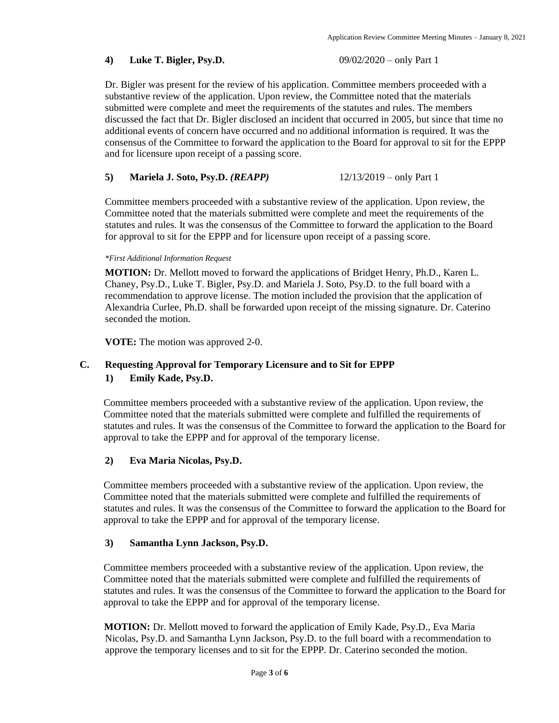### **4) Luke T. Bigler, Psy.D.** 09/02/2020 – only Part 1

Dr. Bigler was present for the review of his application. Committee members proceeded with a substantive review of the application. Upon review, the Committee noted that the materials submitted were complete and meet the requirements of the statutes and rules. The members discussed the fact that Dr. Bigler disclosed an incident that occurred in 2005, but since that time no additional events of concern have occurred and no additional information is required. It was the consensus of the Committee to forward the application to the Board for approval to sit for the EPPP and for licensure upon receipt of a passing score.

### **5) Mariela J. Soto, Psy.D.** *(REAPP)* 12/13/2019 – only Part 1

Committee members proceeded with a substantive review of the application. Upon review, the Committee noted that the materials submitted were complete and meet the requirements of the statutes and rules. It was the consensus of the Committee to forward the application to the Board for approval to sit for the EPPP and for licensure upon receipt of a passing score.

#### *\*First Additional Information Request*

**MOTION:** Dr. Mellott moved to forward the applications of Bridget Henry, Ph.D., Karen L. Chaney, Psy.D., Luke T. Bigler, Psy.D. and Mariela J. Soto, Psy.D. to the full board with a recommendation to approve license. The motion included the provision that the application of Alexandria Curlee, Ph.D. shall be forwarded upon receipt of the missing signature. Dr. Caterino seconded the motion.

**VOTE:** The motion was approved 2-0.

## **C. Requesting Approval for Temporary Licensure and to Sit for EPPP 1) Emily Kade, Psy.D.**

Committee members proceeded with a substantive review of the application. Upon review, the Committee noted that the materials submitted were complete and fulfilled the requirements of statutes and rules. It was the consensus of the Committee to forward the application to the Board for approval to take the EPPP and for approval of the temporary license.

### **2) Eva Maria Nicolas, Psy.D.**

Committee members proceeded with a substantive review of the application. Upon review, the Committee noted that the materials submitted were complete and fulfilled the requirements of statutes and rules. It was the consensus of the Committee to forward the application to the Board for approval to take the EPPP and for approval of the temporary license.

### **3) Samantha Lynn Jackson, Psy.D.**

Committee members proceeded with a substantive review of the application. Upon review, the Committee noted that the materials submitted were complete and fulfilled the requirements of statutes and rules. It was the consensus of the Committee to forward the application to the Board for approval to take the EPPP and for approval of the temporary license.

**MOTION:** Dr. Mellott moved to forward the application of Emily Kade, Psy.D., Eva Maria Nicolas, Psy.D. and Samantha Lynn Jackson, Psy.D. to the full board with a recommendation to approve the temporary licenses and to sit for the EPPP. Dr. Caterino seconded the motion.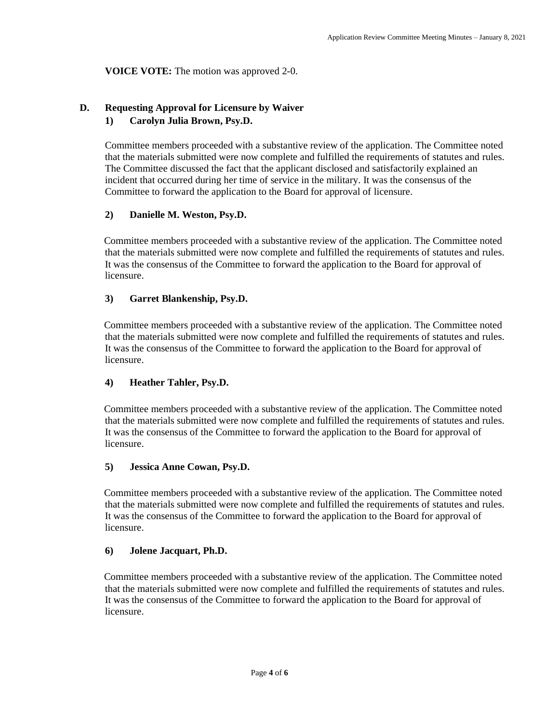## **VOICE VOTE:** The motion was approved 2-0.

# **D. Requesting Approval for Licensure by Waiver**

# **1) Carolyn Julia Brown, Psy.D.**

Committee members proceeded with a substantive review of the application. The Committee noted that the materials submitted were now complete and fulfilled the requirements of statutes and rules. The Committee discussed the fact that the applicant disclosed and satisfactorily explained an incident that occurred during her time of service in the military. It was the consensus of the Committee to forward the application to the Board for approval of licensure.

## **2) Danielle M. Weston, Psy.D.**

Committee members proceeded with a substantive review of the application. The Committee noted that the materials submitted were now complete and fulfilled the requirements of statutes and rules. It was the consensus of the Committee to forward the application to the Board for approval of licensure.

## **3) Garret Blankenship, Psy.D.**

Committee members proceeded with a substantive review of the application. The Committee noted that the materials submitted were now complete and fulfilled the requirements of statutes and rules. It was the consensus of the Committee to forward the application to the Board for approval of licensure.

## **4) Heather Tahler, Psy.D.**

Committee members proceeded with a substantive review of the application. The Committee noted that the materials submitted were now complete and fulfilled the requirements of statutes and rules. It was the consensus of the Committee to forward the application to the Board for approval of licensure.

## **5) Jessica Anne Cowan, Psy.D.**

Committee members proceeded with a substantive review of the application. The Committee noted that the materials submitted were now complete and fulfilled the requirements of statutes and rules. It was the consensus of the Committee to forward the application to the Board for approval of licensure.

## **6) Jolene Jacquart, Ph.D.**

Committee members proceeded with a substantive review of the application. The Committee noted that the materials submitted were now complete and fulfilled the requirements of statutes and rules. It was the consensus of the Committee to forward the application to the Board for approval of licensure.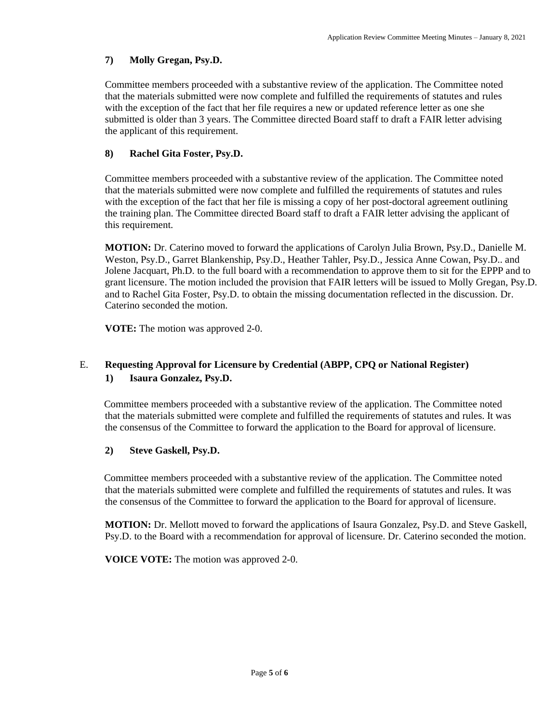# **7) Molly Gregan, Psy.D.**

Committee members proceeded with a substantive review of the application. The Committee noted that the materials submitted were now complete and fulfilled the requirements of statutes and rules with the exception of the fact that her file requires a new or updated reference letter as one she submitted is older than 3 years. The Committee directed Board staff to draft a FAIR letter advising the applicant of this requirement.

# **8) Rachel Gita Foster, Psy.D.**

Committee members proceeded with a substantive review of the application. The Committee noted that the materials submitted were now complete and fulfilled the requirements of statutes and rules with the exception of the fact that her file is missing a copy of her post-doctoral agreement outlining the training plan. The Committee directed Board staff to draft a FAIR letter advising the applicant of this requirement.

**MOTION:** Dr. Caterino moved to forward the applications of Carolyn Julia Brown, Psy.D., Danielle M. Weston, Psy.D., Garret Blankenship, Psy.D., Heather Tahler, Psy.D., Jessica Anne Cowan, Psy.D.. and Jolene Jacquart, Ph.D. to the full board with a recommendation to approve them to sit for the EPPP and to grant licensure. The motion included the provision that FAIR letters will be issued to Molly Gregan, Psy.D. and to Rachel Gita Foster, Psy.D. to obtain the missing documentation reflected in the discussion. Dr. Caterino seconded the motion.

**VOTE:** The motion was approved 2-0.

# E. **Requesting Approval for Licensure by Credential (ABPP, CPQ or National Register) 1) Isaura Gonzalez, Psy.D.**

Committee members proceeded with a substantive review of the application. The Committee noted that the materials submitted were complete and fulfilled the requirements of statutes and rules. It was the consensus of the Committee to forward the application to the Board for approval of licensure.

## **2) Steve Gaskell, Psy.D.**

Committee members proceeded with a substantive review of the application. The Committee noted that the materials submitted were complete and fulfilled the requirements of statutes and rules. It was the consensus of the Committee to forward the application to the Board for approval of licensure.

**MOTION:** Dr. Mellott moved to forward the applications of Isaura Gonzalez, Psy.D. and Steve Gaskell, Psy.D. to the Board with a recommendation for approval of licensure. Dr. Caterino seconded the motion.

**VOICE VOTE:** The motion was approved 2-0.